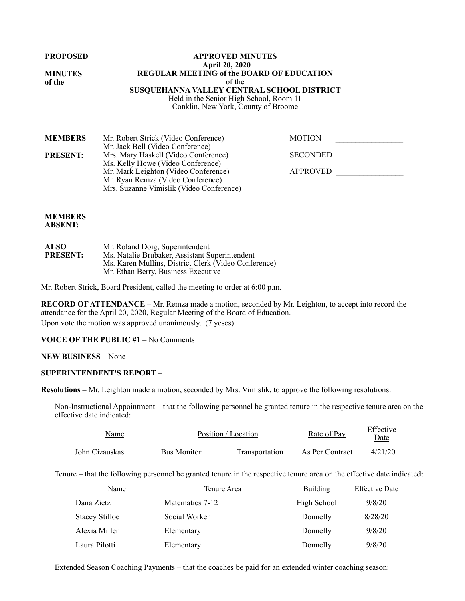**PROPOSED** 

**MINUTES of the**

#### **APPROVED MINUTES April 20, 2020 REGULAR MEETING of the BOARD OF EDUCATION**  of the **SUSQUEHANNA VALLEY CENTRAL SCHOOL DISTRICT**  Held in the Senior High School, Room 11 Conklin, New York, County of Broome

| <b>MEMBERS</b>  | Mr. Robert Strick (Video Conference)     | <b>MOTION</b>   |  |
|-----------------|------------------------------------------|-----------------|--|
|                 | Mr. Jack Bell (Video Conference)         |                 |  |
| <b>PRESENT:</b> | Mrs. Mary Haskell (Video Conference)     | <b>SECONDED</b> |  |
|                 | Ms. Kelly Howe (Video Conference)        |                 |  |
|                 | Mr. Mark Leighton (Video Conference)     | APPROVED        |  |
|                 | Mr. Ryan Remza (Video Conference)        |                 |  |
|                 | Mrs. Suzanne Vimislik (Video Conference) |                 |  |

### **MEMBERS ABSENT:**

| <b>ALSO</b>     | Mr. Roland Doig, Superintendent                      |
|-----------------|------------------------------------------------------|
| <b>PRESENT:</b> | Ms. Natalie Brubaker, Assistant Superintendent       |
|                 | Ms. Karen Mullins, District Clerk (Video Conference) |
|                 | Mr. Ethan Berry, Business Executive                  |

Mr. Robert Strick, Board President, called the meeting to order at 6:00 p.m.

**RECORD OF ATTENDANCE** – Mr. Remza made a motion, seconded by Mr. Leighton, to accept into record the attendance for the April 20, 2020, Regular Meeting of the Board of Education. Upon vote the motion was approved unanimously. (7 yeses)

# **VOICE OF THE PUBLIC #1** – No Comments

### **NEW BUSINESS –** None

## **SUPERINTENDENT'S REPORT** –

**Resolutions** – Mr. Leighton made a motion, seconded by Mrs. Vimislik, to approve the following resolutions:

Non-Instructional Appointment – that the following personnel be granted tenure in the respective tenure area on the effective date indicated:

| Name           |                    | Position / Location | Rate of Pay     | Effective<br>Date |  |
|----------------|--------------------|---------------------|-----------------|-------------------|--|
| John Cizauskas | <b>Bus Monitor</b> | Transportation      | As Per Contract | 4/21/20           |  |

Tenure – that the following personnel be granted tenure in the respective tenure area on the effective date indicated:

| Name                  | <b>Tenure Area</b> | <b>Building</b> | <b>Effective Date</b> |
|-----------------------|--------------------|-----------------|-----------------------|
| Dana Zietz            | Matematics 7-12    | High School     | 9/8/20                |
| <b>Stacey Stilloe</b> | Social Worker      | Donnelly        | 8/28/20               |
| Alexia Miller         | Elementary         | Donnelly        | 9/8/20                |
| Laura Pilotti         | Elementary         | Donnelly        | 9/8/20                |

Extended Season Coaching Payments – that the coaches be paid for an extended winter coaching season: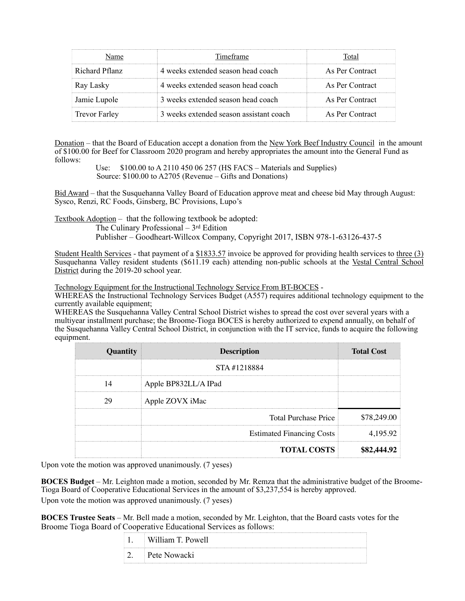|                      | Timeframe                               | `otal           |
|----------------------|-----------------------------------------|-----------------|
| Richard Pflanz       | 4 weeks extended season head coach      | As Per Contract |
| Ray Lasky            | 4 weeks extended season head coach      | As Per Contract |
| Jamie Lupole         | 3 weeks extended season head coach      | As Per Contract |
| <b>Trevor Farley</b> | 3 weeks extended season assistant coach | As Per Contract |

Donation – that the Board of Education accept a donation from the New York Beef Industry Council in the amount of \$100.00 for Beef for Classroom 2020 program and hereby appropriates the amount into the General Fund as follows:

Use: \$100.00 to A 2110 450 06 257 (HS FACS – Materials and Supplies) Source: \$100.00 to A2705 (Revenue – Gifts and Donations)

Bid Award – that the Susquehanna Valley Board of Education approve meat and cheese bid May through August: Sysco, Renzi, RC Foods, Ginsberg, BC Provisions, Lupo's

Textbook Adoption – that the following textbook be adopted:

The Culinary Professional – 3rd Edition Publisher – Goodheart-Willcox Company, Copyright 2017, ISBN 978-1-63126-437-5

Student Health Services - that payment of a \$1833.57 invoice be approved for providing health services to three (3) Susquehanna Valley resident students (\$611.19 each) attending non-public schools at the Vestal Central School District during the 2019-20 school year.

Technology Equipment for the Instructional Technology Service From BT-BOCES -

WHEREAS the Instructional Technology Services Budget (A557) requires additional technology equipment to the currently available equipment;

WHEREAS the Susquehanna Valley Central School District wishes to spread the cost over several years with a multiyear installment purchase; the Broome-Tioga BOCES is hereby authorized to expend annually, on behalf of the Susquehanna Valley Central School District, in conjunction with the IT service, funds to acquire the following equipment.

| Quantity | <b>Description</b>               | <b>Total Cost</b> |
|----------|----------------------------------|-------------------|
|          | STA#1218884                      |                   |
| 14       | Apple BP832LL/A IPad             |                   |
|          | Apple ZOVX iMac                  |                   |
|          | <b>Total Purchase Price</b>      | \$78,249.00       |
|          | <b>Estimated Financing Costs</b> | 4,195.92          |
|          | <b>TOTAL COSTS</b>               | \$82,444          |

Upon vote the motion was approved unanimously. (7 yeses)

**BOCES Budget** – Mr. Leighton made a motion, seconded by Mr. Remza that the administrative budget of the Broome-Tioga Board of Cooperative Educational Services in the amount of \$3,237,554 is hereby approved. Upon vote the motion was approved unanimously. (7 yeses)

**BOCES Trustee Seats** – Mr. Bell made a motion, seconded by Mr. Leighton, that the Board casts votes for the Broome Tioga Board of Cooperative Educational Services as follows:

| William T. Powell |  |
|-------------------|--|
| Pete Nowacki      |  |